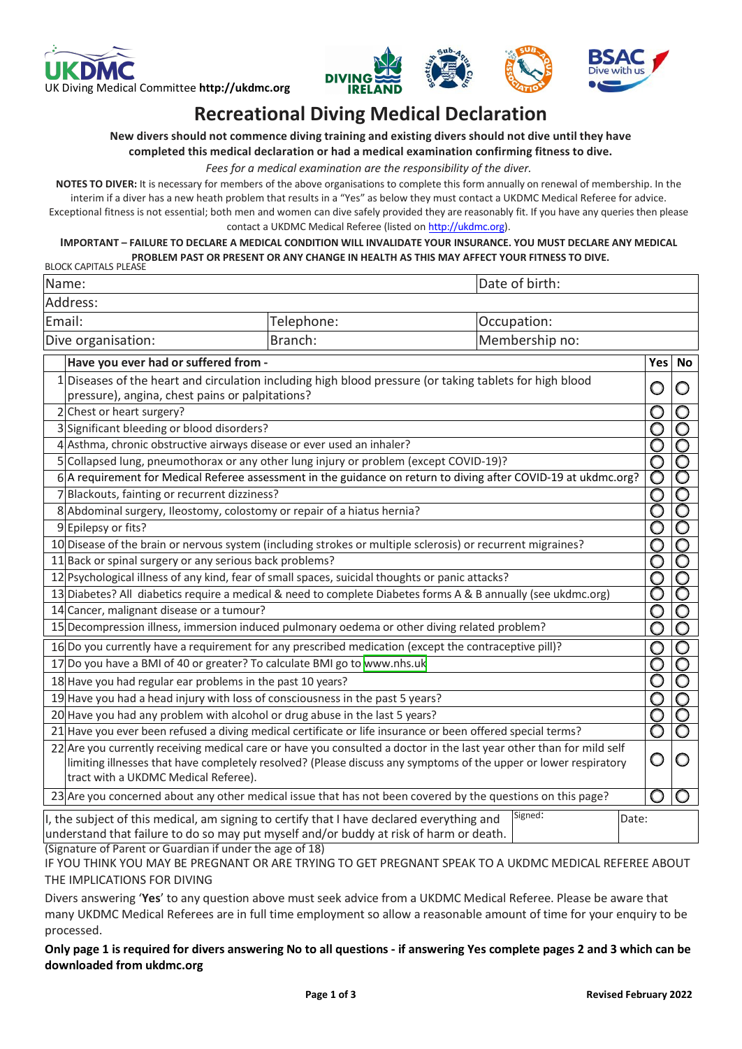



# **Recreational Diving Medical Declaration**

#### **New divers should not commence diving training and existing divers should not dive until they have completed this medical declaration or had a medical examination confirming fitness to dive.**

*Fees for a medical examination are the responsibility of the diver.*

**NOTES TO DIVER:** It is necessary for members of the above organisations to complete this form annually on renewal of membership. In the interim if a diver has a new heath problem that results in a "Yes" as below they must contact a UKDMC Medical Referee for advice. Exceptional fitness is not essential; both men and women can dive safely provided they are reasonably fit. If you have any queries then please contact a UKDMC Medical Referee (listed on [http://ukdmc.org\).](http://ukdmc.org/)

## **IMPORTANT – FAILURE TO DECLARE A MEDICAL CONDITION WILL INVALIDATE YOUR INSURANCE. YOU MUST DECLARE ANY MEDICAL PROBLEM PAST OR PRESENT OR ANY CHANGE IN HEALTH AS THIS MAY AFFECT YOUR FITNESS TO DIVE.** BLOCK CAPITALS PLEASE

| Name:<br>Date of birth:                                                                                                                                                                                 |                                                                                                                                                                                                                                                                                  |                                                                                                                 |             |                         |                         |
|---------------------------------------------------------------------------------------------------------------------------------------------------------------------------------------------------------|----------------------------------------------------------------------------------------------------------------------------------------------------------------------------------------------------------------------------------------------------------------------------------|-----------------------------------------------------------------------------------------------------------------|-------------|-------------------------|-------------------------|
|                                                                                                                                                                                                         | Address:                                                                                                                                                                                                                                                                         |                                                                                                                 |             |                         |                         |
| Email:                                                                                                                                                                                                  |                                                                                                                                                                                                                                                                                  | Telephone:                                                                                                      | Occupation: |                         |                         |
| Membership no:<br>Dive organisation:<br>Branch:                                                                                                                                                         |                                                                                                                                                                                                                                                                                  |                                                                                                                 |             |                         |                         |
|                                                                                                                                                                                                         | Have you ever had or suffered from -                                                                                                                                                                                                                                             |                                                                                                                 |             |                         | Yes No                  |
|                                                                                                                                                                                                         | 1 Diseases of the heart and circulation including high blood pressure (or taking tablets for high blood<br>pressure), angina, chest pains or palpitations?                                                                                                                       |                                                                                                                 |             | O                       | O                       |
|                                                                                                                                                                                                         | 2 Chest or heart surgery?                                                                                                                                                                                                                                                        |                                                                                                                 |             | O                       | $\circ$                 |
|                                                                                                                                                                                                         | 3 Significant bleeding or blood disorders?                                                                                                                                                                                                                                       |                                                                                                                 |             | 0                       | $\overline{\mathsf{O}}$ |
|                                                                                                                                                                                                         | 4 Asthma, chronic obstructive airways disease or ever used an inhaler?                                                                                                                                                                                                           |                                                                                                                 |             | O                       | $\bigcirc$              |
|                                                                                                                                                                                                         |                                                                                                                                                                                                                                                                                  | 5 Collapsed lung, pneumothorax or any other lung injury or problem (except COVID-19)?                           |             | $\overline{\mathsf{O}}$ | $\overline{\mathsf{O}}$ |
|                                                                                                                                                                                                         |                                                                                                                                                                                                                                                                                  | 6 A requirement for Medical Referee assessment in the guidance on return to diving after COVID-19 at ukdmc.org? |             | O                       | $\mathbf{\circ}$        |
|                                                                                                                                                                                                         | 7 Blackouts, fainting or recurrent dizziness?                                                                                                                                                                                                                                    |                                                                                                                 |             | O                       | $\mathsf{O}$            |
|                                                                                                                                                                                                         | 8 Abdominal surgery, Ileostomy, colostomy or repair of a hiatus hernia?                                                                                                                                                                                                          |                                                                                                                 |             | Ō                       | $\overline{\mathsf{O}}$ |
|                                                                                                                                                                                                         | 9 Epilepsy or fits?                                                                                                                                                                                                                                                              |                                                                                                                 |             | $\overline{\mathsf{O}}$ | $\overline{\mathsf{O}}$ |
|                                                                                                                                                                                                         | 10 Disease of the brain or nervous system (including strokes or multiple sclerosis) or recurrent migraines?                                                                                                                                                                      |                                                                                                                 |             | O                       | $\bigcirc$              |
|                                                                                                                                                                                                         | 11 Back or spinal surgery or any serious back problems?                                                                                                                                                                                                                          |                                                                                                                 |             | O                       | $\circ$                 |
|                                                                                                                                                                                                         | 12 Psychological illness of any kind, fear of small spaces, suicidal thoughts or panic attacks?                                                                                                                                                                                  |                                                                                                                 |             | 0                       | $\circ$                 |
|                                                                                                                                                                                                         | 13 Diabetes? All diabetics require a medical & need to complete Diabetes forms A & B annually (see ukdmc.org)                                                                                                                                                                    |                                                                                                                 |             | O                       | Ō                       |
|                                                                                                                                                                                                         | 14 Cancer, malignant disease or a tumour?                                                                                                                                                                                                                                        |                                                                                                                 |             | $\overline{\mathsf{O}}$ | $\overline{\mathsf{O}}$ |
|                                                                                                                                                                                                         | 15 Decompression illness, immersion induced pulmonary oedema or other diving related problem?                                                                                                                                                                                    |                                                                                                                 |             | O                       | $\bigcirc$              |
|                                                                                                                                                                                                         | 16 Do you currently have a requirement for any prescribed medication (except the contraceptive pill)?                                                                                                                                                                            |                                                                                                                 |             | $\overline{\mathsf{O}}$ | $\overline{\mathsf{O}}$ |
|                                                                                                                                                                                                         | 17 Do you have a BMI of 40 or greater? To calculate BMI go to www.nhs.uk                                                                                                                                                                                                         |                                                                                                                 |             | O                       | $\overline{\mathsf{O}}$ |
|                                                                                                                                                                                                         | 18 Have you had regular ear problems in the past 10 years?                                                                                                                                                                                                                       |                                                                                                                 |             | O                       | $\circ$                 |
|                                                                                                                                                                                                         | 19 Have you had a head injury with loss of consciousness in the past 5 years?                                                                                                                                                                                                    |                                                                                                                 |             | $\circ$                 | $\circ$                 |
|                                                                                                                                                                                                         | 20 Have you had any problem with alcohol or drug abuse in the last 5 years?                                                                                                                                                                                                      |                                                                                                                 | O           | $\circ$                 |                         |
|                                                                                                                                                                                                         | 21 Have you ever been refused a diving medical certificate or life insurance or been offered special terms?                                                                                                                                                                      |                                                                                                                 |             | $\overline{\mathsf{O}}$ | Ō                       |
|                                                                                                                                                                                                         | 22 Are you currently receiving medical care or have you consulted a doctor in the last year other than for mild self<br>limiting illnesses that have completely resolved? (Please discuss any symptoms of the upper or lower respiratory<br>tract with a UKDMC Medical Referee). |                                                                                                                 |             | $\circ$                 | O                       |
|                                                                                                                                                                                                         | 23 Are you concerned about any other medical issue that has not been covered by the questions on this page?<br>O                                                                                                                                                                 |                                                                                                                 |             |                         |                         |
| Signed:<br>I, the subject of this medical, am signing to certify that I have declared everything and<br>Date:<br>understand that failure to do so may put myself and/or buddy at risk of harm or death. |                                                                                                                                                                                                                                                                                  |                                                                                                                 |             |                         |                         |

(Signature of Parent or Guardian if under the age of 18)

IF YOU THINK YOU MAY BE PREGNANT OR ARE TRYING TO GET PREGNANT SPEAK TO A UKDMC MEDICAL REFEREE ABOUT THE IMPLICATIONS FOR DIVING

Divers answering '**Yes**' to any question above must seek advice from a UKDMC Medical Referee. Please be aware that many UKDMC Medical Referees are in full time employment so allow a reasonable amount of time for your enquiry to be processed.

**Only page 1 is required for divers answering No to all questions - if answering Yes complete pages 2 and 3 which can be downloaded from ukdmc.org**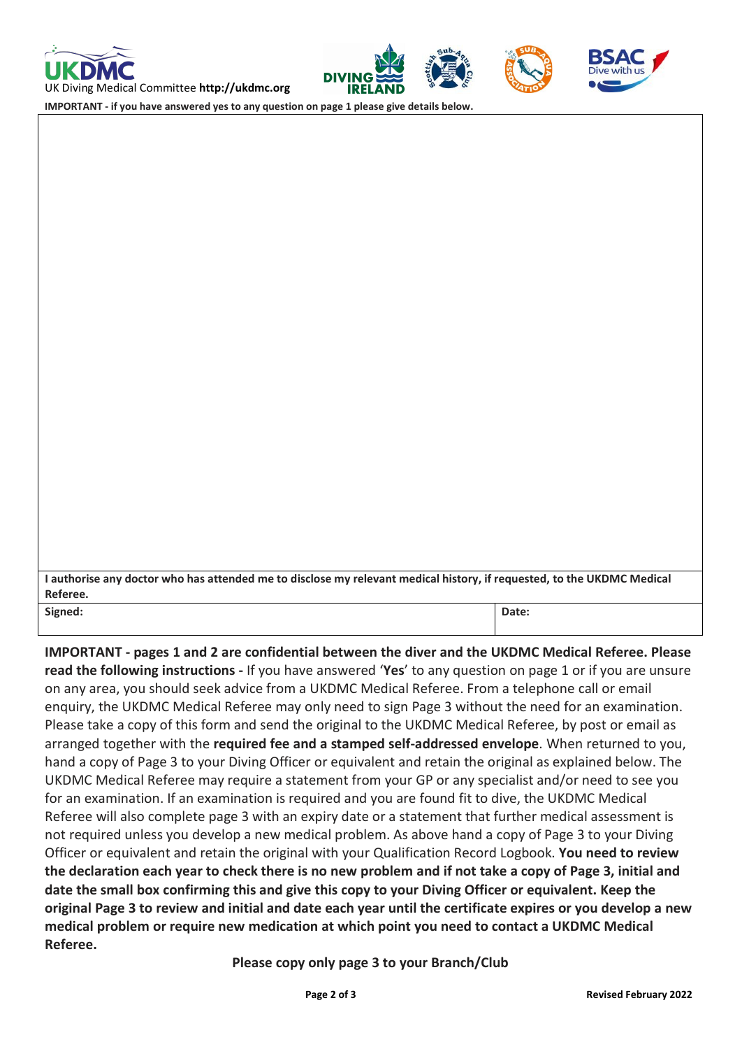

UK Diving Medical Committee **[http://ukdmc.org](http://ukdmc.org/)**







**IMPORTANT - if you have answered yes to any question on page 1 please give details below.**

| I authorise any doctor who has attended me to disclose my relevant medical history, if requested, to the UKDMC Medical |       |  |  |
|------------------------------------------------------------------------------------------------------------------------|-------|--|--|
| Referee.                                                                                                               |       |  |  |
| Signed:                                                                                                                | Date: |  |  |

**IMPORTANT - pages 1 and 2 are confidential between the diver and the UKDMC Medical Referee. Please read the following instructions -** If you have answered '**Yes**' to any question on page 1 or if you are unsure on any area, you should seek advice from a UKDMC Medical Referee. From a telephone call or email enquiry, the UKDMC Medical Referee may only need to sign Page 3 without the need for an examination. Please take a copy of this form and send the original to the UKDMC Medical Referee, by post or email as arranged together with the **required fee and a stamped self-addressed envelope**. When returned to you, hand a copy of Page 3 to your Diving Officer or equivalent and retain the original as explained below. The UKDMC Medical Referee may require a statement from your GP or any specialist and/or need to see you for an examination. If an examination is required and you are found fit to dive, the UKDMC Medical Referee will also complete page 3 with an expiry date or a statement that further medical assessment is not required unless you develop a new medical problem. As above hand a copy of Page 3 to your Diving Officer or equivalent and retain the original with your Qualification Record Logbook. **You need to review the declaration each year to check there is no new problem and if not take a copy of Page 3, initial and date the small box confirming this and give this copy to your Diving Officer or equivalent. Keep the original Page 3 to review and initial and date each year until the certificate expires or you develop a new medical problem or require new medication at which point you need to contact a UKDMC Medical Referee.**

**Please copy only page 3 to your Branch/Club**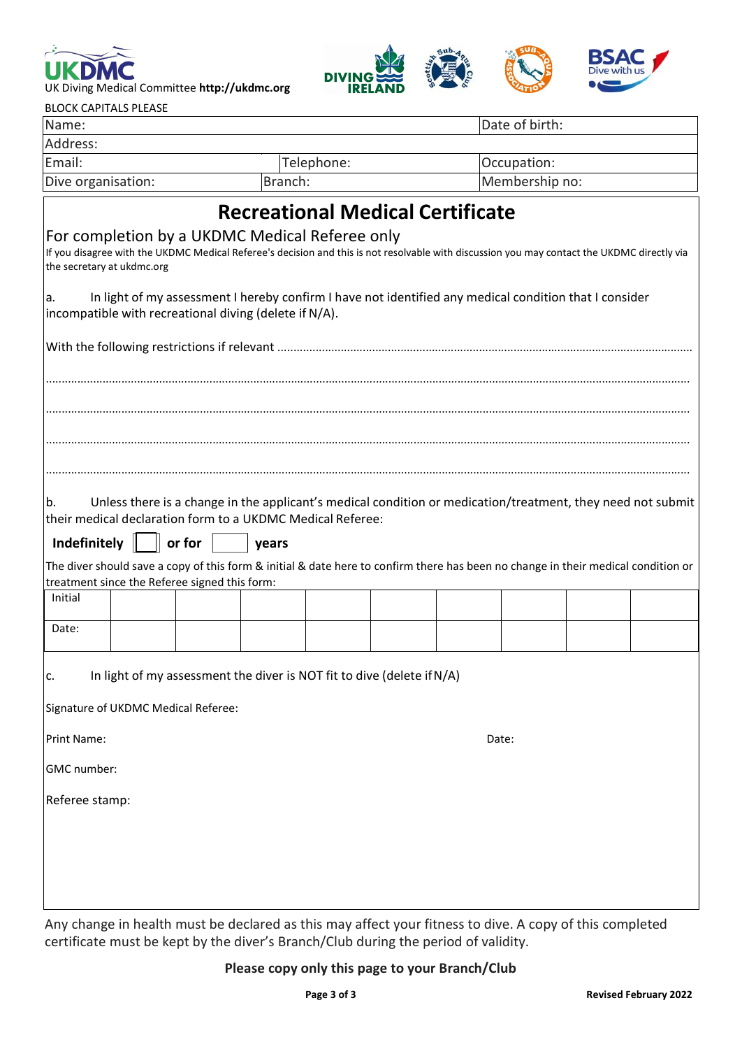



| Date of birth:<br>Telephone:<br>Occupation:<br>Membership no:<br>Branch:<br><b>Recreational Medical Certificate</b><br>In light of my assessment I hereby confirm I have not identified any medical condition that I consider<br>Unless there is a change in the applicant's medical condition or medication/treatment, they need not submit<br>b.<br>Indefinitely $\ \cdot\ $ or for<br>years<br>Initial<br>Date:<br>In light of my assessment the diver is NOT fit to dive (delete if N/A)<br>Signature of UKDMC Medical Referee:<br>Date: | <b>BLOCK CAPITALS PLEASE</b>                                                                                                                                                                                                                                                                |  |  |  |  |  |  |
|----------------------------------------------------------------------------------------------------------------------------------------------------------------------------------------------------------------------------------------------------------------------------------------------------------------------------------------------------------------------------------------------------------------------------------------------------------------------------------------------------------------------------------------------|---------------------------------------------------------------------------------------------------------------------------------------------------------------------------------------------------------------------------------------------------------------------------------------------|--|--|--|--|--|--|
|                                                                                                                                                                                                                                                                                                                                                                                                                                                                                                                                              | Name:                                                                                                                                                                                                                                                                                       |  |  |  |  |  |  |
|                                                                                                                                                                                                                                                                                                                                                                                                                                                                                                                                              | Address:                                                                                                                                                                                                                                                                                    |  |  |  |  |  |  |
|                                                                                                                                                                                                                                                                                                                                                                                                                                                                                                                                              | Email:                                                                                                                                                                                                                                                                                      |  |  |  |  |  |  |
|                                                                                                                                                                                                                                                                                                                                                                                                                                                                                                                                              | Dive organisation:                                                                                                                                                                                                                                                                          |  |  |  |  |  |  |
|                                                                                                                                                                                                                                                                                                                                                                                                                                                                                                                                              | For completion by a UKDMC Medical Referee only<br>If you disagree with the UKDMC Medical Referee's decision and this is not resolvable with discussion you may contact the UKDMC directly via<br>the secretary at ukdmc.org<br>a.<br>incompatible with recreational diving (delete if N/A). |  |  |  |  |  |  |
|                                                                                                                                                                                                                                                                                                                                                                                                                                                                                                                                              | their medical declaration form to a UKDMC Medical Referee:<br>The diver should save a copy of this form & initial & date here to confirm there has been no change in their medical condition or<br>treatment since the Referee signed this form:                                            |  |  |  |  |  |  |
|                                                                                                                                                                                                                                                                                                                                                                                                                                                                                                                                              |                                                                                                                                                                                                                                                                                             |  |  |  |  |  |  |
|                                                                                                                                                                                                                                                                                                                                                                                                                                                                                                                                              |                                                                                                                                                                                                                                                                                             |  |  |  |  |  |  |
|                                                                                                                                                                                                                                                                                                                                                                                                                                                                                                                                              | c.<br>Print Name:<br>GMC number:<br>Referee stamp:                                                                                                                                                                                                                                          |  |  |  |  |  |  |

Any change in health must be declared as this may affect your fitness to dive. A copy of this completed certificate must be kept by the diver's Branch/Club during the period of validity.

### **Please copy only this page to your Branch/Club**